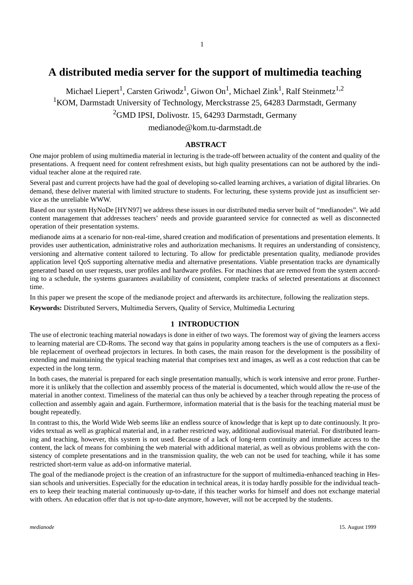# **A distributed media server for the support of multimedia teaching**

Michael Liepert $^1$ , Carsten Griwodz $^1$ , Giwon On $^1$ , Michael Zink $^1$ , Ralf Steinmetz $^{1,2}$ 

<sup>1</sup>KOM, Darmstadt University of Technology, Merckstrasse 25, 64283 Darmstadt, Germany

<sup>2</sup>GMD IPSI, Dolivostr. 15, 64293 Darmstadt, Germany

medianode@kom.tu-darmstadt.de

## **ABSTRACT**

One major problem of using multimedia material in lecturing is the trade-off between actuality of the content and quality of the presentations. A frequent need for content refreshment exists, but high quality presentations can not be authored by the individual teacher alone at the required rate.

Several past and current projects have had the goal of developing so-called learning archives, a variation of digital libraries. On demand, these deliver material with limited structure to students. For lecturing, these systems provide just as insufficient service as the unreliable WWW.

Based on our system HyNoDe [HYN97] we address these issues in our distributed media server built of "medianodes". We add content management that addresses teachers' needs and provide guaranteed service for connected as well as disconnected operation of their presentation systems.

medianode aims at a scenario for non-real-time, shared creation and modification of presentations and presentation elements. It provides user authentication, administrative roles and authorization mechanisms. It requires an understanding of consistency, versioning and alternative content tailored to lecturing. To allow for predictable presentation quality, medianode provides application level QoS supporting alternative media and alternative presentations. Viable presentation tracks are dynamically generated based on user requests, user profiles and hardware profiles. For machines that are removed from the system according to a schedule, the systems guarantees availability of consistent, complete tracks of selected presentations at disconnect time.

In this paper we present the scope of the medianode project and afterwards its architecture, following the realization steps.

**Keywords:** Distributed Servers, Multimedia Servers, Quality of Service, Multimedia Lecturing

## **1 INTRODUCTION**

The use of electronic teaching material nowadays is done in either of two ways. The foremost way of giving the learners access to learning material are CD-Roms. The second way that gains in popularity among teachers is the use of computers as a flexible replacement of overhead projectors in lectures. In both cases, the main reason for the development is the possibility of extending and maintaining the typical teaching material that comprises text and images, as well as a cost reduction that can be expected in the long term.

In both cases, the material is prepared for each single presentation manually, which is work intensive and error prone. Furthermore it is unlikely that the collection and assembly process of the material is documented, which would allow the re-use of the material in another context. Timeliness of the material can thus only be achieved by a teacher through repeating the process of collection and assembly again and again. Furthermore, information material that is the basis for the teaching material must be bought repeatedly.

In contrast to this, the World Wide Web seems like an endless source of knowledge that is kept up to date continuously. It provides textual as well as graphical material and, in a rather restricted way, additional audiovisual material. For distributed learning and teaching, however, this system is not used. Because of a lack of long-term continuity and immediate access to the content, the lack of means for combining the web material with additional material, as well as obvious problems with the consistency of complete presentations and in the transmission quality, the web can not be used for teaching, while it has some restricted short-term value as add-on informative material.

The goal of the medianode project is the creation of an infrastructure for the support of multimedia-enhanced teaching in Hessian schools and universities. Especially for the education in technical areas, it is today hardly possible for the individual teachers to keep their teaching material continuously up-to-date, if this teacher works for himself and does not exchange material with others. An education offer that is not up-to-date anymore, however, will not be accepted by the students.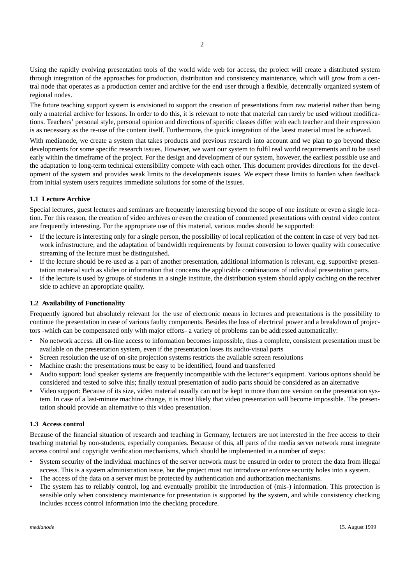Using the rapidly evolving presentation tools of the world wide web for access, the project will create a distributed system through integration of the approaches for production, distribution and consistency maintenance, which will grow from a central node that operates as a production center and archive for the end user through a flexible, decentrally organized system of regional nodes.

The future teaching support system is envisioned to support the creation of presentations from raw material rather than being only a material archive for lessons. In order to do this, it is relevant to note that material can rarely be used without modifications. Teachers' personal style, personal opinion and directions of specific classes differ with each teacher and their expression is as necessary as the re-use of the content itself. Furthermore, the quick integration of the latest material must be achieved.

With medianode, we create a system that takes products and previous research into account and we plan to go beyond these developments for some specific research issues. However, we want our system to fulfil real world requirements and to be used early within the timeframe of the project. For the design and development of our system, however, the earliest possible use and the adaptation to long-term technical extensibility compete with each other. This document provides directions for the development of the system and provides weak limits to the developments issues. We expect these limits to harden when feedback from initial system users requires immediate solutions for some of the issues.

## **1.1 Lecture Archive**

Special lectures, guest lectures and seminars are frequently interesting beyond the scope of one institute or even a single location. For this reason, the creation of video archives or even the creation of commented presentations with central video content are frequently interesting. For the appropriate use of this material, various modes should be supported:

- If the lecture is interesting only for a single person, the possibility of local replication of the content in case of very bad network infrastructure, and the adaptation of bandwidth requirements by format conversion to lower quality with consecutive streaming of the lecture must be distinguished.
- If the lecture should be re-used as a part of another presentation, additional information is relevant, e.g. supportive presentation material such as slides or information that concerns the applicable combinations of individual presentation parts.
- If the lecture is used by groups of students in a single institute, the distribution system should apply caching on the receiver side to achieve an appropriate quality.

#### **1.2 Availability of Functionality**

Frequently ignored but absolutely relevant for the use of electronic means in lectures and presentations is the possibility to continue the presentation in case of various faulty components. Besides the loss of electrical power and a breakdown of projectors -which can be compensated only with major efforts- a variety of problems can be addressed automatically:

- No network access: all on-line access to information becomes impossible, thus a complete, consistent presentation must be available on the presentation system, even if the presentation loses its audio-visual parts
- Screen resolution the use of on-site projection systems restricts the available screen resolutions
- Machine crash: the presentations must be easy to be identified, found and transferred
- Audio support: loud speaker systems are frequently incompatible with the lecturer's equipment. Various options should be considered and tested to solve this; finally textual presentation of audio parts should be considered as an alternative
- Video support: Because of its size, video material usually can not be kept in more than one version on the presentation system. In case of a last-minute machine change, it is most likely that video presentation will become impossible. The presentation should provide an alternative to this video presentation.

#### **1.3 Access control**

Because of the financial situation of research and teaching in Germany, lecturers are not interested in the free access to their teaching material by non-students, especially companies. Because of this, all parts of the media server network must integrate access control and copyright verification mechanisms, which should be implemented in a number of steps:

- System security of the individual machines of the server network must be ensured in order to protect the data from illegal access. This is a system administration issue, but the project must not introduce or enforce security holes into a system.
- The access of the data on a server must be protected by authentication and authorization mechanisms.
- The system has to reliably control, log and eventually prohibit the introduction of (mis-) information. This protection is sensible only when consistency maintenance for presentation is supported by the system, and while consistency checking includes access control information into the checking procedure.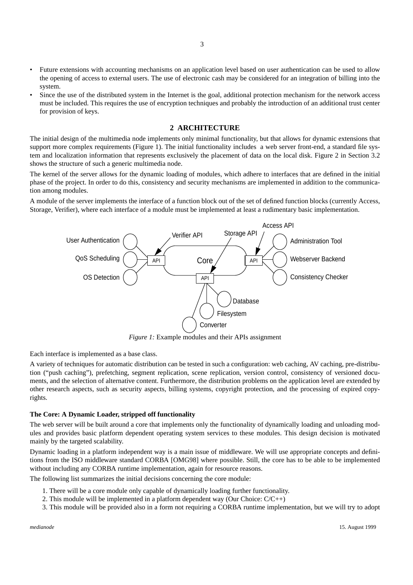- Future extensions with accounting mechanisms on an application level based on user authentication can be used to allow the opening of access to external users. The use of electronic cash may be considered for an integration of billing into the system.
- Since the use of the distributed system in the Internet is the goal, additional protection mechanism for the network access must be included. This requires the use of encryption techniques and probably the introduction of an additional trust center for provision of keys.

## **2 ARCHITECTURE**

The initial design of the multimedia node implements only minimal functionality, but that allows for dynamic extensions that support more complex requirements (Figure 1). The initial functionality includes a web server front-end, a standard file system and localization information that represents exclusively the placement of data on the local disk. Figure 2 in Section 3.2 shows the structure of such a generic multimedia node.

The kernel of the server allows for the dynamic loading of modules, which adhere to interfaces that are defined in the initial phase of the project. In order to do this, consistency and security mechanisms are implemented in addition to the communication among modules.

A module of the server implements the interface of a function block out of the set of defined function blocks (currently Access, Storage, Verifier), where each interface of a module must be implemented at least a rudimentary basic implementation.



*Figure 1:* Example modules and their APIs assignment

Each interface is implemented as a base class.

A variety of techniques for automatic distribution can be tested in such a configuration: web caching, AV caching, pre-distribution ("push caching"), prefetching, segment replication, scene replication, version control, consistency of versioned documents, and the selection of alternative content. Furthermore, the distribution problems on the application level are extended by other research aspects, such as security aspects, billing systems, copyright protection, and the processing of expired copyrights.

#### **The Core: A Dynamic Loader, stripped off functionality**

The web server will be built around a core that implements only the functionality of dynamically loading and unloading modules and provides basic platform dependent operating system services to these modules. This design decision is motivated mainly by the targeted scalability.

Dynamic loading in a platform independent way is a main issue of middleware. We will use appropriate concepts and definitions from the ISO middleware standard CORBA [OMG98] where possible. Still, the core has to be able to be implemented without including any CORBA runtime implementation, again for resource reasons.

The following list summarizes the initial decisions concerning the core module:

- 1. There will be a core module only capable of dynamically loading further functionality.
- 2. This module will be implemented in a platform dependent way (Our Choice:  $C/C++$ )
- 3. This module will be provided also in a form not requiring a CORBA runtime implementation, but we will try to adopt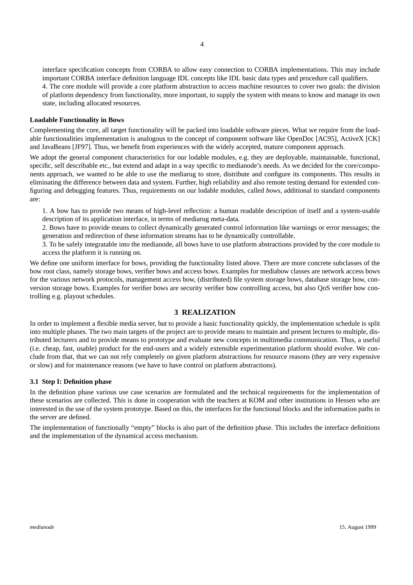interface specification concepts from CORBA to allow easy connection to CORBA implementations. This may include important CORBA interface definition language IDL concepts like IDL basic data types and procedure call qualifiers. 4. The core module will provide a core platform abstraction to access machine resources to cover two goals: the division of platform dependency from functionality, more important, to supply the system with means to know and manage its own state, including allocated resources.

## **Loadable Functionality in Bows**

Complementing the core, all target functionality will be packed into loadable software pieces. What we require from the loadable functionalities implementation is analogous to the concept of component software like OpenDoc [AC95], ActiveX [CK] and JavaBeans [JF97]. Thus, we benefit from experiences with the widely accepted, mature component approach.

We adopt the general component characteristics for our lodable modules, e.g. they are deployable, maintainable, functional, specific, self describable etc., but extend and adapt in a way specific to medianode's needs. As we decided for the core/components approach, we wanted to be able to use the mediarug to store, distribute and configure its components. This results in eliminating the difference between data and system. Further, high reliability and also remote testing demand for extended configuring and debugging features. Thus, requirements on our lodable modules, called *bows*, additional to standard components are:

1. A bow has to provide two means of high-level reflection: a human readable description of itself and a system-usable description of its application interface, in terms of mediarug meta-data.

2. Bows have to provide means to collect dynamically generated control information like warnings or error messages; the generation and redirection of these information streams has to be dynamically controllable.

3. To be safely integratable into the medianode, all bows have to use platform abstractions provided by the core module to access the platform it is running on.

We define one uniform interface for bows, providing the functionality listed above. There are more concrete subclasses of the bow root class, namely storage bows, verifier bows and access bows. Examples for mediabow classes are network access bows for the various network protocols, management access bow, (distributed) file system storage bows, database storage bow, conversion storage bows. Examples for verifier bows are security verifier bow controlling access, but also QoS verifier bow controlling e.g. playout schedules.

## **3 REALIZATION**

In order to implement a flexible media server, but to provide a basic functionality quickly, the implementation schedule is split into multiple phases. The two main targets of the project are to provide means to maintain and present lectures to multiple, distributed lecturers and to provide means to prototype and evaluate new concepts in multimedia communication. Thus, a useful (i.e. cheap, fast, usable) product for the end-users and a widely extensible experimentation platform should evolve. We conclude from that, that we can not rely completely on given platform abstractions for resource reasons (they are very expensive or slow) and for maintenance reasons (we have to have control on platform abstractions).

#### **3.1 Step I: Definition phase**

In the definition phase various use case scenarios are formulated and the technical requirements for the implementation of these scenarios are collected. This is done in cooperation with the teachers at KOM and other institutions in Hessen who are interested in the use of the system prototype. Based on this, the interfaces for the functional blocks and the information paths in the server are defined.

The implementation of functionally "empty" blocks is also part of the definition phase. This includes the interface definitions and the implementation of the dynamical access mechanism.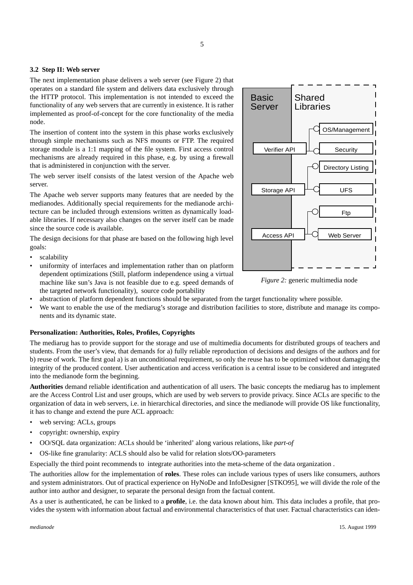#### **3.2 Step II: Web server**

The next implementation phase delivers a web server (see Figure 2) that operates on a standard file system and delivers data exclusively through the HTTP protocol. This implementation is not intended to exceed the functionality of any web servers that are currently in existence. It is rather implemented as proof-of-concept for the core functionality of the media node.

The insertion of content into the system in this phase works exclusively through simple mechanisms such as NFS mounts or FTP. The required storage module is a 1:1 mapping of the file system. First access control mechanisms are already required in this phase, e.g. by using a firewall that is administered in conjunction with the server.

The web server itself consists of the latest version of the Apache web server.

The Apache web server supports many features that are needed by the medianodes. Additionally special requirements for the medianode architecture can be included through extensions written as dynamically loadable libraries. If necessary also changes on the server itself can be made since the source code is available.

The design decisions for that phase are based on the following high level goals:

- scalability
- uniformity of interfaces and implementation rather than on platform dependent optimizations (Still, platform independence using a virtual machine like sun's Java is not feasible due to e.g. speed demands of the targeted network functionality), source code portability
- abstraction of platform dependent functions should be separated from the target functionality where possible.
- We want to enable the use of the mediarug's storage and distribution facilities to store, distribute and manage its components and its dynamic state.

#### **Personalization: Authorities, Roles, Profiles, Copyrights**

The mediarug has to provide support for the storage and use of multimedia documents for distributed groups of teachers and students. From the user's view, that demands for a) fully reliable reproduction of decisions and designs of the authors and for b) reuse of work. The first goal a) is an unconditional requirement, so only the reuse has to be optimized without damaging the integrity of the produced content. User authentication and access verification is a central issue to be considered and integrated into the medianode form the beginning.

**Authorities** demand reliable identification and authentication of all users. The basic concepts the mediarug has to implement are the Access Control List and user groups, which are used by web servers to provide privacy. Since ACLs are specific to the organization of data in web servers, i.e. in hierarchical directories, and since the medianode will provide OS like functionality, it has to change and extend the pure ACL approach:

- web serving: ACLs, groups
- copyright: ownership, expiry
- OO/SQL data organization: ACLs should be 'inherited' along various relations, like *part-of*
- OS-like fine granularity: ACLS should also be valid for relation slots/OO-parameters

Especially the third point recommends to integrate authorities into the meta-scheme of the data organization .

The authorities allow for the implementation of **roles**. These roles can include various types of users like consumers, authors and system administrators. Out of practical experience on HyNoDe and InfoDesigner [STKO95], we will divide the role of the author into author and designer, to separate the personal design from the factual content.

As a user is authenticated, he can be linked to a **profile**, i.e. the data known about him. This data includes a profile, that provides the system with information about factual and environmental characteristics of that user. Factual characteristics can iden-

Basic Shared Server | Libraries OS/Management Verifier API  $\Box$  Security C Directory Listing Storage API UFS Ftp Access API Web Server

*Figure 2:* generic multimedia node

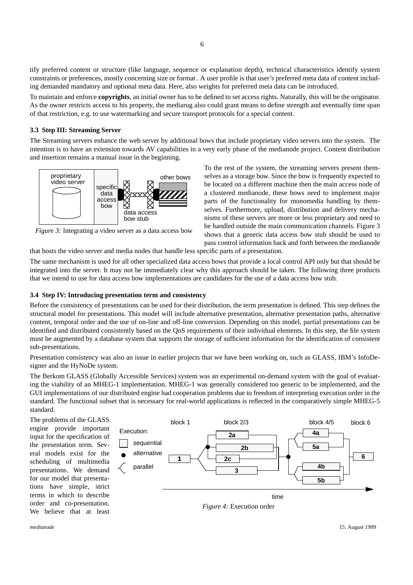tify preferred content or structure (like language, sequence or explanation depth), technical characteristics identify system constraints or preferences, mostly concerning size or format . A user profile is that user's preferred meta data of content including demanded mandatory and optional meta data. Here, also weights for preferred meta data can be introduced.

To maintain and enforce **copyrights**, an initial owner has to be defined to set access rights. Naturally, this will be the originator. As the owner restricts access to his property, the mediarug also could grant means to define strength and eventually time span of that restriction, e.g. to use watermarking and secure transport protocols for a special content.

#### **3.3 Step III: Streaming Server**

The Streaming servers enhance the web server by additional bows that include proprietary video servers into the system. The intention is to have an extension towards AV capabilities in a very early phase of the medianode project. Content distribution and insertion remains a manual issue in the beginning.



*Figure 3:* Integrating a video server as a data access bow

To the rest of the system, the streaming servers present themselves as a storage bow. Since the bow is frequently expected to be located on a different machine then the main access node of a clustered medianode, these bows need to implement major parts of the functionality for monomedia handling by themselves. Furthermore, upload, distribution and delivery mechanisms of these servers are more or less proprietary and need to be handled outside the main communication channels. Figure 3 shows that a generic data access bow stub should be used to pass control information back and forth between the medianode

that hosts the video server and media nodes that handle less specific parts of a presentation.

The same mechanism is used for all other specialized data access bows that provide a local control API only but that should be integrated into the server. It may not be immediately clear why this approach should be taken. The following three products that we intend to use for data access bow implementations are candidates for the use of a data access bow stub.

#### **3.4 Step IV: Introducing presentation term and consistency**

Before the consistency of presentations can be used for their distribution, the term presentation is defined. This step defines the structural model for presentations. This model will include alternative presentation, alternative presentation paths, alternative content, temporal order and the use of on-line and off-line conversion. Depending on this model, partial presentations can be identified and distributed consistently based on the QoS requirements of their individual elements. In this step, the file system must be augmented by a database system that supports the storage of sufficient information for the identification of consistent sub-presentations.

Presentation consistency was also an issue in earlier projects that we have been working on, such as GLASS, IBM's InfoDesigner and the HyNoDe system.

The Berkom GLASS (Globally Accessible Services) system was an experimental on-demand system with the goal of evaluating the viability of an MHEG-1 implementation. MHEG-1 was generally considered too generic to be implemented, and the GUI implementations of our distributed engine had cooperation problems due to freedom of interpreting execution order in the standard. The functional subset that is necessary for real-world applications is reflected in the comparatively simple MHEG-5 standard.

The problems of the GLASS engine provide important input for the specification of the presentation term. Several models exist for the scheduling of multimedia presentations. We demand for our model that presentations have simple, strict terms in which to describe order and co-presentation. We believe that at least

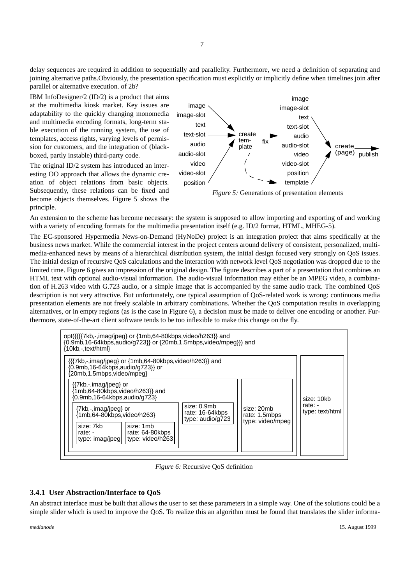delay sequences are required in addition to sequentially and parallelity. Furthermore, we need a definition of separating and joining alternative paths.Obviously, the presentation specification must explicitly or implicitly define when timelines join after parallel or alternative execution. of 2b?

IBM InfoDesigner/2 (ID/2) is a product that aims at the multimedia kiosk market. Key issues are adaptability to the quickly changing monomedia and multimedia encoding formats, long-term stable execution of the running system, the use of templates, access rights, varying levels of permission for customers, and the integration of (blackboxed, partly instable) third-party code.

The original ID/2 system has introduced an interesting OO approach that allows the dynamic creation of object relations from basic objects. Subsequently, these relations can be fixed and become objects themselves. Figure 5 shows the principle.



*Figure 5:* Generations of presentation elements

An extension to the scheme has become necessary: the system is supposed to allow importing and exporting of and working with a variety of encoding formats for the multimedia presentation itself (e.g. ID/2 format, HTML, MHEG-5).

The EC-sponsored Hypermedia News-on-Demand (HyNoDe) project is an integration project that aims specifically at the business news market. While the commercial interest in the project centers around delivery of consistent, personalized, multimedia-enhanced news by means of a hierarchical distribution system, the initial design focused very strongly on QoS issues. The initial design of recursive QoS calculations and the interaction with network level QoS negotiation was dropped due to the limited time. Figure 6 gives an impression of the original design. The figure describes a part of a presentation that combines an HTML text with optional audio-visual information. The audio-visual information may either be an MPEG video, a combination of H.263 video with G.723 audio, or a simple image that is accompanied by the same audio track. The combined QoS description is not very attractive. But unfortunately, one typical assumption of QoS-related work is wrong: continuous media presentation elements are not freely scalable in arbitrary combinations. Whether the QoS computation results in overlapping alternatives, or in empty regions (as is the case in Figure 6), a decision must be made to deliver one encoding or another. Furthermore, state-of-the-art client software tends to be too inflexible to make this change on the fly.

| opt({{{{7kb,-,imag/jpeg} or {1mb,64-80kbps,video/h263}} and<br>$\{0.9mb, 16-64kbps, audio/g723\}$ or $\{20mb, 1.5mbps, video/mpeg\}\$ and<br>${10kb,-.text/html}$ |                                                    |                                                 |                            |
|-------------------------------------------------------------------------------------------------------------------------------------------------------------------|----------------------------------------------------|-------------------------------------------------|----------------------------|
| {{7kb,-,imag/jpeg} or {1mb,64-80kbps,video/h263}} and<br>{0.9mb,16-64kbps,audio/g723}} or<br>{20mb,1.5mbps,video/mpeg}                                            |                                                    |                                                 |                            |
| $\{7kb,-,imag/peg\}$ or<br>1mb,64-80kbps,video/h263}} and<br>{0.9mb,16-64kbps,audio/g723}                                                                         |                                                    |                                                 | size: 10kb                 |
| {7kb,-,imag/jpeg} or<br>{1mb,64-80kbps,video/h263}<br>size: 7kb<br>size: 1mb                                                                                      | size: 0.9mb<br>rate: 16-64kbps<br>type: audio/g723 | size: 20mb<br>rate: 1.5mbps<br>type: video/mpeg | rate: -<br>type: text/html |
| rate: 64-80kbps<br>rate: -<br>type: video/h263<br>type: imag/jpeg                                                                                                 |                                                    |                                                 |                            |

*Figure 6:* Recursive QoS definition

## **3.4.1 User Abstraction/Interface to QoS**

An abstract interface must be built that allows the user to set these parameters in a simple way. One of the solutions could be a simple slider which is used to improve the QoS. To realize this an algorithm must be found that translates the slider informa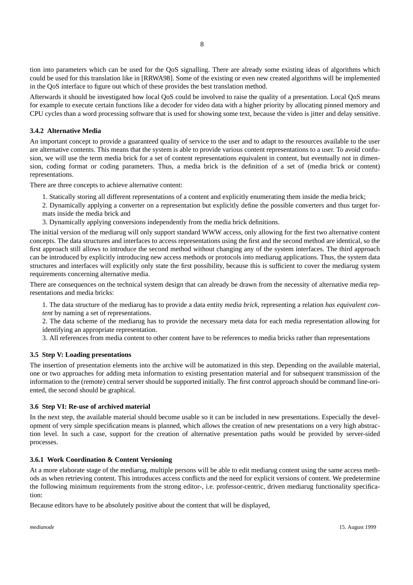tion into parameters which can be used for the QoS signalling. There are already some existing ideas of algorithms which could be used for this translation like in [RRWA98]. Some of the existing or even new created algorithms will be implemented in the QoS interface to figure out which of these provides the best translation method.

Afterwards it should be investigated how local QoS could be involved to raise the quality of a presentation. Local QoS means for example to execute certain functions like a decoder for video data with a higher priority by allocating pinned memory and CPU cycles than a word processing software that is used for showing some text, because the video is jitter and delay sensitive.

## **3.4.2 Alternative Media**

An important concept to provide a guaranteed quality of service to the user and to adapt to the resources available to the user are alternative contents. This means that the system is able to provide various content representations to a user. To avoid confusion, we will use the term media brick for a set of content representations equivalent in content, but eventually not in dimension, coding format or coding parameters. Thus, a media brick is the definition of a set of (media brick or content) representations.

There are three concepts to achieve alternative content:

1. Statically storing all different representations of a content and explicitly enumerating them inside the media brick;

- 2. Dynamically applying a converter on a representation but explicitly define the possible converters and thus target formats inside the media brick and
- 3. Dynamically applying conversions independently from the media brick definitions.

The initial version of the mediarug will only support standard WWW access, only allowing for the first two alternative content concepts. The data structures and interfaces to access representations using the first and the second method are identical, so the first approach still allows to introduce the second method without changing any of the system interfaces. The third approach can be introduced by explicitly introducing new access methods or protocols into mediarug applications. Thus, the system data structures and interfaces will explicitly only state the first possibility, because this is sufficient to cover the mediarug system requirements concerning alternative media.

There are consequences on the technical system design that can already be drawn from the necessity of alternative media representations and media bricks:

1. The data structure of the mediarug has to provide a data entity *media brick*, representing a relation *has equivalent content* by naming a set of representations.

2. The data scheme of the mediarug has to provide the necessary meta data for each media representation allowing for identifying an appropriate representation.

3. All references from media content to other content have to be references to media bricks rather than representations

## **3.5 Step V: Loading presentations**

The insertion of presentation elements into the archive will be automatized in this step. Depending on the available material, one or two approaches for adding meta information to existing presentation material and for subsequent transmission of the information to the (remote) central server should be supported initially. The first control approach should be command line-oriented, the second should be graphical.

#### **3.6 Step VI: Re-use of archived material**

In the next step, the available material should become usable so it can be included in new presentations. Especially the development of very simple specification means is planned, which allows the creation of new presentations on a very high abstraction level. In such a case, support for the creation of alternative presentation paths would be provided by server-sided processes.

#### **3.6.1 Work Coordination & Content Versioning**

At a more elaborate stage of the mediarug, multiple persons will be able to edit mediarug content using the same access methods as when retrieving content. This introduces access conflicts and the need for explicit versions of content. We predetermine the following minimum requirements from the strong editor-, i.e. professor-centric, driven mediarug functionality specification:

Because editors have to be absolutely positive about the content that will be displayed,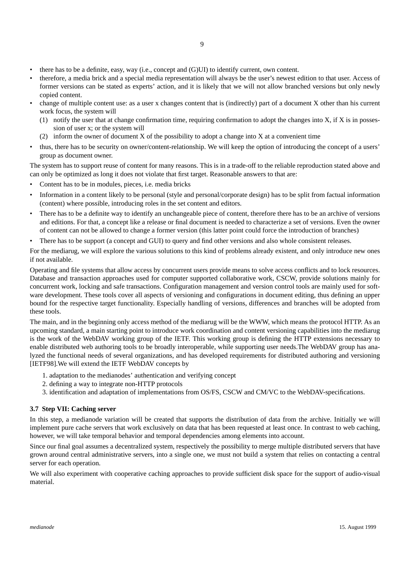- there has to be a definite, easy, way (i.e., concept and (G)UI) to identify current, own content.
- therefore, a media brick and a special media representation will always be the user's newest edition to that user. Access of former versions can be stated as experts' action, and it is likely that we will not allow branched versions but only newly copied content.
- change of multiple content use: as a user x changes content that is (indirectly) part of a document X other than his current work focus, the system will
	- (1) notify the user that at change confirmation time, requiring confirmation to adopt the changes into  $X$ , if  $X$  is in possession of user x; or the system will
	- (2) inform the owner of document X of the possibility to adopt a change into X at a convenient time
- thus, there has to be security on owner/content-relationship. We will keep the option of introducing the concept of a users' group as document owner.

The system has to support reuse of content for many reasons. This is in a trade-off to the reliable reproduction stated above and can only be optimized as long it does not violate that first target. Reasonable answers to that are:

- Content has to be in modules, pieces, i.e. media bricks
- Information in a content likely to be personal (style and personal/corporate design) has to be split from factual information (content) where possible, introducing roles in the set content and editors.
- There has to be a definite way to identify an unchangeable piece of content, therefore there has to be an archive of versions and editions. For that, a concept like a release or final document is needed to characterize a set of versions. Even the owner of content can not be allowed to change a former version (this latter point could force the introduction of branches)
- There has to be support (a concept and GUI) to query and find other versions and also whole consistent releases.

For the mediarug, we will explore the various solutions to this kind of problems already existent, and only introduce new ones if not available.

Operating and file systems that allow access by concurrent users provide means to solve access conflicts and to lock resources. Database and transaction approaches used for computer supported collaborative work, CSCW, provide solutions mainly for concurrent work, locking and safe transactions. Configuration management and version control tools are mainly used for software development. These tools cover all aspects of versioning and configurations in document editing, thus defining an upper bound for the respective target functionality. Especially handling of versions, differences and branches will be adopted from these tools.

The main, and in the beginning only access method of the mediarug will be the WWW, which means the protocol HTTP. As an upcoming standard, a main starting point to introduce work coordination and content versioning capabilities into the mediarug is the work of the WebDAV working group of the IETF. This working group is defining the HTTP extensions necessary to enable distributed web authoring tools to be broadly interoperable, while supporting user needs.The WebDAV group has analyzed the functional needs of several organizations, and has developed requirements for distributed authoring and versioning [IETF98].We will extend the IETF WebDAV concepts by

- 1. adaptation to the medianodes' authentication and verifying concept
- 2. defining a way to integrate non-HTTP protocols
- 3. identification and adaptation of implementations from OS/FS, CSCW and CM/VC to the WebDAV-specifications.

## **3.7 Step VII: Caching server**

In this step, a medianode variation will be created that supports the distribution of data from the archive. Initially we will implement pure cache servers that work exclusively on data that has been requested at least once. In contrast to web caching, however, we will take temporal behavior and temporal dependencies among elements into account.

Since our final goal assumes a decentralized system, respectively the possibility to merge multiple distributed servers that have grown around central administrative servers, into a single one, we must not build a system that relies on contacting a central server for each operation.

We will also experiment with cooperative caching approaches to provide sufficient disk space for the support of audio-visual material.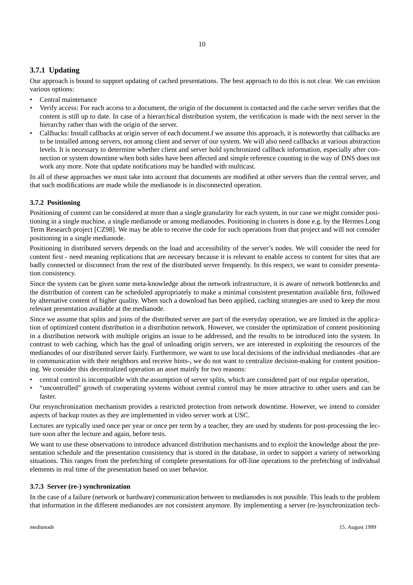## **3.7.1 Updating**

Our approach is bound to support updating of cached presentations. The best approach to do this is not clear. We can envision various options:

- Central maintenance
- Verify access: For each access to a document, the origin of the document is contacted and the cache server verifies that the content is still up to date. In case of a hierarchical distribution system, the verification is made with the next server in the hierarchy rather than with the origin of the server.
- Callbacks: Install callbacks at origin server of each document.f we assume this approach, it is noteworthy that callbacks are to be installed among servers, not among client and server of our system. We will also need callbacks at various abstraction levels. It is necessary to determine whether client and server hold synchronized callback information, especially after connection or system downtime when both sides have been affected and simple reference counting in the way of DNS does not work any more. Note that update notifications may be handled with multicast.

In all of these approaches we must take into account that documents are modified at other servers than the central server, and that such modifications are made while the medianode is in disconnected operation.

## **3.7.2 Positioning**

Positioning of content can be considered at more than a single granularity for each system, in our case we might consider positioning in a single machine, a single medianode or among medianodes. Positioning in clusters is done e.g. by the Hermes Long Term Research project [CZ98]. We may be able to receive the code for such operations from that project and will not consider positioning in a single medianode.

Positioning in distributed servers depends on the load and accessibility of the server's nodes. We will consider the need for content first - need meaning replications that are necessary because it is relevant to enable access to content for sites that are badly connected or disconnect from the rest of the distributed server frequently. In this respect, we want to consider presentation consistency.

Since the system can be given some meta-knowledge about the network infrastructure, it is aware of network bottlenecks and the distribution of content can be scheduled appropriately to make a minimal consistent presentation available first, followed by alternative content of higher quality. When such a download has been applied, caching strategies are used to keep the most relevant presentation available at the medianode.

Since we assume that splits and joins of the distributed server are part of the everyday operation, we are limited in the application of optimized content distribution in a distribution network. However, we consider the optimization of content positioning in a distribution network with multiple origins an issue to be addressed, and the results to be introduced into the system. In contrast to web caching, which has the goal of unloading origin servers, we are interested in exploiting the resources of the medianodes of our distributed server fairly. Furthermore, we want to use local decisions of the individual medianodes -that are in communication with their neighbors and receive hints-, we do not want to centralize decision-making for content positioning. We consider this decentralized operation an asset mainly for two reasons:

- central control is incompatible with the assumption of server splits, which are considered part of our regular operation,
- "uncontrolled" growth of cooperating systems without central control may be more attractive to other users and can be faster.

Our resynchronization mechanism provides a restricted protection from network downtime. However, we intend to consider aspects of backup routes as they are implemented in video server work at USC.

Lectures are typically used once per year or once per term by a teacher, they are used by students for post-processing the lecture soon after the lecture and again, before tests.

We want to use these observations to introduce advanced distribution mechanisms and to exploit the knowledge about the presentation schedule and the presentation consistency that is stored in the database, in order to support a variety of networking situations. This ranges from the prefetching of complete presentations for off-line operations to the prefetching of individual elements in real time of the presentation based on user behavior.

#### **3.7.3 Server (re-) synchronization**

In the case of a failure (network or hardware) communication between to medianodes is not possible. This leads to the problem that information in the different medianodes are not consistent anymore. By implementing a server (re-)synchronization tech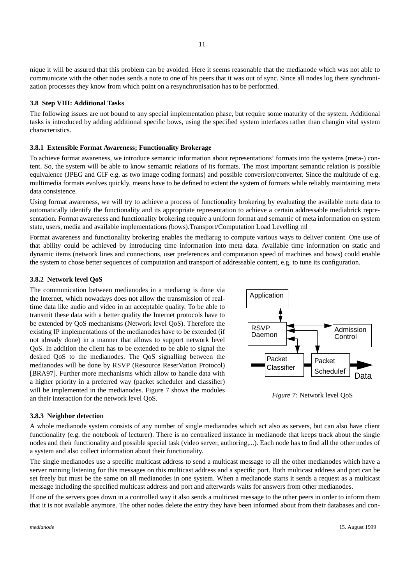11

nique it will be assured that this problem can be avoided. Here it seems reasonable that the medianode which was not able to communicate with the other nodes sends a note to one of his peers that it was out of sync. Since all nodes log there synchronization processes they know from which point on a resynchronisation has to be performed.

## **3.8 Step VIII: Additional Tasks**

The following issues are not bound to any special implementation phase, but require some maturity of the system. Additional tasks is introduced by adding additional specific bows, using the specified system interfaces rather than changin vital system characteristics.

#### **3.8.1 Extensible Format Awareness; Functionality Brokerage**

To achieve format awareness, we introduce semantic information about representations' formats into the systems (meta-) content. So, the system will be able to know semantic relations of its formats. The most important semantic relation is possible equivalence (JPEG and GIF e.g. as two image coding formats) and possible conversion/converter. Since the multitude of e.g. multimedia formats evolves quickly, means have to be defined to extent the system of formats while reliably maintaining meta data consistence.

Using format awareness, we will try to achieve a process of functionality brokering by evaluating the available meta data to automatically identify the functionality and its appropriate representation to achieve a certain addressable mediabrick representation. Format awareness and functionality brokering require a uniform format and semantic of meta information on system state, users, media and available implementations (bows).Transport/Computation Load Levelling ml

Format awareness and functionality brokering enables the mediarug to compute various ways to deliver content. One use of that ability could be achieved by introducing time information into meta data. Available time information on static and dynamic items (network lines and connections, user preferences and computation speed of machines and bows) could enable the system to chose better sequences of computation and transport of addressable content, e.g. to tune its configuration.

#### **3.8.2 Network level QoS**

The communication between medianodes in a mediarug is done via the Internet, which nowadays does not allow the transmission of realtime data like audio and video in an acceptable quality. To be able to transmit these data with a better quality the Internet protocols have to be extended by QoS mechanisms (Network level QoS). Therefore the existing IP implementations of the medianodes have to be extended (if not already done) in a manner that allows to support network level QoS. In addition the client has to be extended to be able to signal the desired QoS to the medianodes. The QoS signalling between the medianodes will be done by RSVP (Resource ReserVation Protocol) [BRA97]. Further more mechanisms which allow to handle data with a higher priority in a preferred way (packet scheduler and classifier) will be implemented in the medianodes. Figure 7 shows the modules an their interaction for the network level QoS.



*Figure 7:* Network level QoS

#### **3.8.3 Neighbor detection**

A whole medianode system consists of any number of single medianodes which act also as servers, but can also have client functionality (e.g. the notebook of lecturer). There is no centralized instance in medianode that keeps track about the single nodes and their functionality and possible special task (video server, authoring,...). Each node has to find all the other nodes of a system and also collect information about their functionality.

The single medianodes use a specific multicast address to send a multicast message to all the other medianodes which have a server running listening for this messages on this multicast address and a specific port. Both multicast address and port can be set freely but must be the same on all medianodes in one system. When a medianode starts it sends a request as a multicast message including the specified multicast address and port and afterwards waits for answers from other medianodes.

If one of the servers goes down in a controlled way it also sends a multicast message to the other peers in order to inform them that it is not available anymore. The other nodes delete the entry they have been informed about from their databases and con